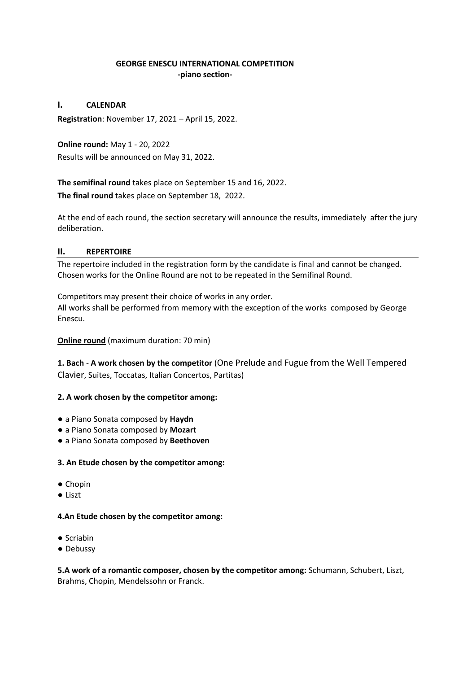## **GEORGE ENESCU INTERNATIONAL COMPETITION -piano section-**

### **I. CALENDAR**

**Registration**: November 17, 2021 – April 15, 2022.

**Online round:** May 1 - 20, 2022 Results will be announced on May 31, 2022.

**The semifinal round** takes place on September 15 and 16, 2022. **The final round** takes place on September 18, 2022.

At the end of each round, the section secretary will announce the results, immediately after the jury deliberation.

## **II. REPERTOIRE**

The repertoire included in the registration form by the candidate is final and cannot be changed. Chosen works for the Online Round are not to be repeated in the Semifinal Round.

Competitors may present their choice of works in any order. All works shall be performed from memory with the exception of the works composed by George Enescu.

## **Online round** (maximum duration: 70 min)

**1. Bach** - **A work chosen by the competitor** (One Prelude and Fugue from the Well Tempered Clavier, Suites, Toccatas, Italian Concertos, Partitas)

### **2. A work chosen by the competitor among:**

- a Piano Sonata composed by **Haydn**
- a Piano Sonata composed by **Mozart**
- a Piano Sonata composed by **Beethoven**

### **3. An Etude chosen by the competitor among:**

- Chopin
- Liszt

### **4.An Etude chosen by the competitor among:**

- Scriabin
- Debussy

**5.A work of a romantic composer, chosen by the competitor among:** Schumann, Schubert, Liszt, Brahms, Chopin, Mendelssohn or Franck.